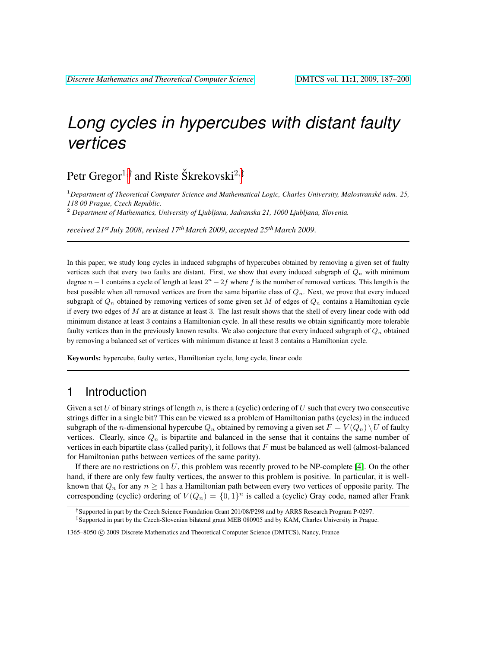# *Long cycles in hypercubes with distant faulty vertices*

Petr Gregor $^{1, \dagger}$  and Riste Škrekovski $^{2, \ddagger}$ 

<sup>1</sup>Department of Theoretical Computer Science and Mathematical Logic, Charles University, Malostranské nám. 25, *118 00 Prague, Czech Republic.*

<sup>2</sup> *Department of Mathematics, University of Ljubljana, Jadranska 21, 1000 Ljubljana, Slovenia.*

*received 21st July 2008*, *revised 17th March 2009*, *accepted 25th March 2009*.

In this paper, we study long cycles in induced subgraphs of hypercubes obtained by removing a given set of faulty vertices such that every two faults are distant. First, we show that every induced subgraph of  $Q_n$  with minimum degree  $n-1$  contains a cycle of length at least  $2<sup>n</sup> - 2f$  where f is the number of removed vertices. This length is the best possible when all removed vertices are from the same bipartite class of  $Q_n$ . Next, we prove that every induced subgraph of  $Q_n$  obtained by removing vertices of some given set M of edges of  $Q_n$  contains a Hamiltonian cycle if every two edges of  $M$  are at distance at least 3. The last result shows that the shell of every linear code with odd minimum distance at least 3 contains a Hamiltonian cycle. In all these results we obtain significantly more tolerable faulty vertices than in the previously known results. We also conjecture that every induced subgraph of  $Q_n$  obtained by removing a balanced set of vertices with minimum distance at least 3 contains a Hamiltonian cycle.

Keywords: hypercube, faulty vertex, Hamiltonian cycle, long cycle, linear code

### <span id="page-0-0"></span>1 Introduction

Given a set U of binary strings of length n, is there a (cyclic) ordering of U such that every two consecutive strings differ in a single bit? This can be viewed as a problem of Hamiltonian paths (cycles) in the induced subgraph of the *n*-dimensional hypercube  $Q_n$  obtained by removing a given set  $F = V(Q_n) \setminus U$  of faulty vertices. Clearly, since  $Q_n$  is bipartite and balanced in the sense that it contains the same number of vertices in each bipartite class (called parity), it follows that  $F$  must be balanced as well (almost-balanced for Hamiltonian paths between vertices of the same parity).

If there are no restrictions on  $U$ , this problem was recently proved to be NP-complete [\[4\]](#page-13-0). On the other hand, if there are only few faulty vertices, the answer to this problem is positive. In particular, it is wellknown that  $Q_n$  for any  $n \geq 1$  has a Hamiltonian path between every two vertices of opposite parity. The corresponding (cyclic) ordering of  $V(Q_n) = \{0,1\}^n$  is called a (cyclic) Gray code, named after Frank

<sup>†</sup>Supported in part by the Czech Science Foundation Grant 201/08/P298 and by ARRS Research Program P-0297.

<sup>‡</sup>Supported in part by the Czech-Slovenian bilateral grant MEB 080905 and by KAM, Charles University in Prague.

<sup>1365–8050</sup> C 2009 Discrete Mathematics and Theoretical Computer Science (DMTCS), Nancy, France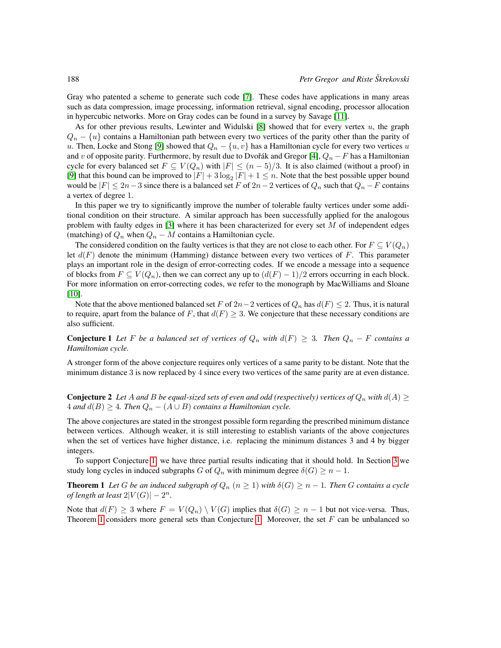Gray who patented a scheme to generate such code [\[7\]](#page-13-1). These codes have applications in many areas such as data compression, image processing, information retrieval, signal encoding, processor allocation in hypercubic networks. More on Gray codes can be found in a survey by Savage [\[11\]](#page-13-2).

As for other previous results, Lewinter and Widulski  $[8]$  showed that for every vertex u, the graph  $Q_n - \{u\}$  contains a Hamiltonian path between every two vertices of the parity other than the parity of u. Then, Locke and Stong [\[9\]](#page-13-4) showed that  $Q_n - \{u, v\}$  has a Hamiltonian cycle for every two vertices u and v of opposite parity. Furthermore, by result due to Dvořák and Gregor [\[4\]](#page-13-0),  $Q_n - F$  has a Hamiltonian cycle for every balanced set  $F \subseteq V(Q_n)$  with  $|F| \leq (n-5)/3$ . It is also claimed (without a proof) in [\[9\]](#page-13-4) that this bound can be improved to  $|F| + 3 \log_2 |F| + 1 \le n$ . Note that the best possible upper bound would be  $|F| \leq 2n-3$  since there is a balanced set F of  $2n-2$  vertices of  $Q_n$  such that  $Q_n - F$  contains a vertex of degree 1.

In this paper we try to significantly improve the number of tolerable faulty vertices under some additional condition on their structure. A similar approach has been successfully applied for the analogous problem with faulty edges in  $[3]$  where it has been characterized for every set M of independent edges (matching) of  $Q_n$  when  $Q_n - M$  contains a Hamiltonian cycle.

The considered condition on the faulty vertices is that they are not close to each other. For  $F \subseteq V(Q_n)$ let  $d(F)$  denote the minimum (Hamming) distance between every two vertices of F. This parameter plays an important role in the design of error-correcting codes. If we encode a message into a sequence of blocks from  $F \subseteq V(Q_n)$ , then we can correct any up to  $(d(F) - 1)/2$  errors occurring in each block. For more information on error-correcting codes, we refer to the monograph by MacWilliams and Sloane [\[10\]](#page-13-6).

<span id="page-1-0"></span>Note that the above mentioned balanced set F of  $2n-2$  vertices of  $Q_n$  has  $d(F) \leq 2$ . Thus, it is natural to require, apart from the balance of F, that  $d(F) \geq 3$ . We conjecture that these necessary conditions are also sufficient.

**Conjecture 1** Let F be a balanced set of vertices of  $Q_n$  with  $d(F) \geq 3$ . Then  $Q_n - F$  contains a *Hamiltonian cycle.*

A stronger form of the above conjecture requires only vertices of a same parity to be distant. Note that the minimum distance 3 is now replaced by 4 since every two vertices of the same parity are at even distance.

**Conjecture 2** Let A and B be equal-sized sets of even and odd (respectively) vertices of  $Q_n$  with  $d(A) \ge$  $4$  *and*  $d(B) \geq 4$ *. Then*  $Q_n - (A \cup B)$  *contains a Hamiltonian cycle.* 

The above conjectures are stated in the strongest possible form regarding the prescribed minimum distance between vertices. Although weaker, it is still interesting to establish variants of the above conjectures when the set of vertices have higher distance, i.e. replacing the minimum distances 3 and 4 by bigger integers.

<span id="page-1-1"></span>To support Conjecture [1,](#page-1-0) we have three partial results indicating that it should hold. In Section [3](#page-3-0) we study long cycles in induced subgraphs G of  $Q_n$  with minimum degree  $\delta(G) \geq n - 1$ .

**Theorem 1** Let G be an induced subgraph of  $Q_n$   $(n \geq 1)$  with  $\delta(G) \geq n - 1$ . Then G contains a cycle *of length at least*  $2|V(G)| - 2^n$ .

Note that  $d(F) \geq 3$  where  $F = V(Q_n) \setminus V(G)$  implies that  $\delta(G) \geq n - 1$  but not vice-versa. Thus, Theorem [1](#page-1-1) considers more general sets than Conjecture [1.](#page-1-0) Moreover, the set  $F$  can be unbalanced so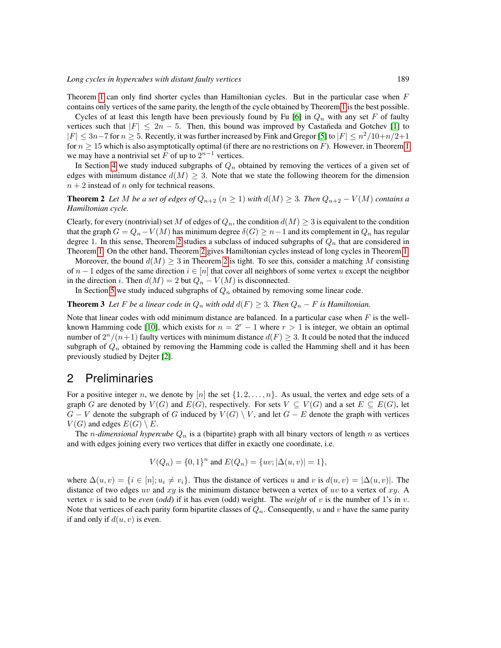Theorem [1](#page-1-1) can only find shorter cycles than Hamiltonian cycles. But in the particular case when  $F$ contains only vertices of the same parity, the length of the cycle obtained by Theorem [1](#page-1-1) is the best possible.

Cycles of at least this length have been previously found by Fu [\[6\]](#page-13-7) in  $Q_n$  with any set F of faulty vertices such that  $|F| \leq 2n - 5$ . Then, this bound was improved by Castañeda and Gotchev [\[1\]](#page-13-8) to  $|F| \leq 3n-7$  for  $n \geq 5$ . Recently, it was further increased by Fink and Gregor [\[5\]](#page-13-9) to  $|F| \leq n^2/10 + n/2+1$ for  $n \geq 15$  $n \geq 15$  $n \geq 15$  which is also asymptotically optimal (if there are no restrictions on F). However, in Theorem 1 we may have a nontrivial set F of up to  $2^{n-1}$  vertices.

<span id="page-2-0"></span>In Section [4](#page-5-0) we study induced subgraphs of  $Q_n$  obtained by removing the vertices of a given set of edges with minimum distance  $d(M) \geq 3$ . Note that we state the following theorem for the dimension  $n + 2$  instead of n only for technical reasons.

**Theorem 2** Let M be a set of edges of  $Q_{n+2}$   $(n \geq 1)$  with  $d(M) \geq 3$ . Then  $Q_{n+2} - V(M)$  contains a *Hamiltonian cycle.*

Clearly, for every (nontrivial) set M of edges of  $Q_n$ , the condition  $d(M) \geq 3$  is equivalent to the condition that the graph  $G = Q_n - V(M)$  has minimum degree  $\delta(G) \geq n-1$  and its complement in  $Q_n$  has regular degree 1. In this sense, Theorem [2](#page-2-0) studies a subclass of induced subgraphs of  $Q_n$  that are considered in Theorem [1.](#page-1-1) On the other hand, Theorem [2](#page-2-0) gives Hamiltonian cycles instead of long cycles in Theorem [1.](#page-1-1)

Moreover, the bound  $d(M) \geq 3$  in Theorem [2](#page-2-0) is tight. To see this, consider a matching M consisting of  $n-1$  edges of the same direction  $i \in [n]$  that cover all neighbors of some vertex u except the neighbor in the direction i. Then  $d(M) = 2$  but  $Q_n - V(M)$  is disconnected.

In Section [5](#page-12-0) we study induced subgraphs of  $Q_n$  obtained by removing some linear code.

#### **Theorem 3** Let F be a linear code in  $Q_n$  with odd  $d(F) \geq 3$ . Then  $Q_n - F$  is Hamiltonian.

Note that linear codes with odd minimum distance are balanced. In a particular case when  $F$  is the well-known Hamming code [\[10\]](#page-13-6), which exists for  $n = 2<sup>r</sup> - 1$  where  $r > 1$  is integer, we obtain an optimal number of  $2^n/(n+1)$  faulty vertices with minimum distance  $d(F) \geq 3$ . It could be noted that the induced subgraph of  $Q_n$  obtained by removing the Hamming code is called the Hamming shell and it has been previously studied by Dejter [\[2\]](#page-13-10).

#### 2 Preliminaries

For a positive integer n, we denote by [n] the set  $\{1, 2, \ldots, n\}$ . As usual, the vertex and edge sets of a graph G are denoted by  $V(G)$  and  $E(G)$ , respectively. For sets  $V \subseteq V(G)$  and a set  $E \subseteq E(G)$ , let  $G - V$  denote the subgraph of G induced by  $V(G) \setminus V$ , and let  $G - E$  denote the graph with vertices  $V(G)$  and edges  $E(G) \setminus E$ .

The *n-dimensional hypercube*  $Q_n$  is a (bipartite) graph with all binary vectors of length *n* as vertices and with edges joining every two vertices that differ in exactly one coordinate, i.e.

<span id="page-2-1"></span>
$$
V(Q_n) = \{0, 1\}^n \text{ and } E(Q_n) = \{uv; |\Delta(u, v)| = 1\},\
$$

where  $\Delta(u, v) = \{i \in [n]; u_i \neq v_i\}$ . Thus the distance of vertices u and v is  $d(u, v) = |\Delta(u, v)|$ . The distance of two edges uv and  $xy$  is the minimum distance between a vertex of uv to a vertex of  $xy$ . A vertex v is said to be *even* (*odd*) if it has even (*odd*) weight. The *weight* of v is the number of 1's in v. Note that vertices of each parity form bipartite classes of  $Q_n$ . Consequently, u and v have the same parity if and only if  $d(u, v)$  is even.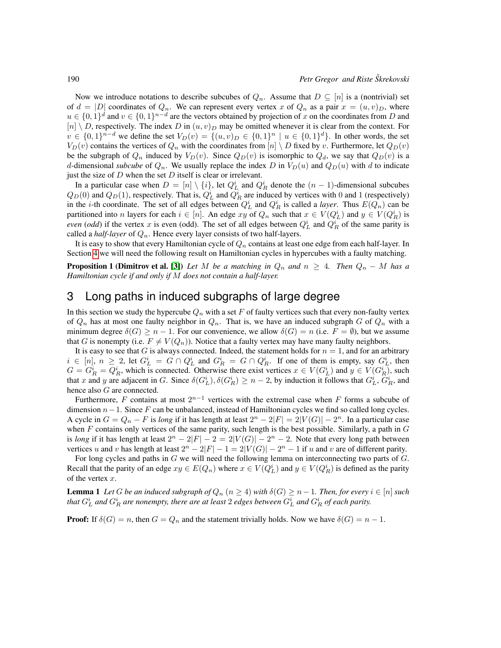Now we introduce notations to describe subcubes of  $Q_n$ . Assume that  $D \subseteq [n]$  is a (nontrivial) set of  $d = |D|$  coordinates of  $Q_n$ . We can represent every vertex x of  $Q_n$  as a pair  $x = (u, v)_D$ , where  $u \in \{0,1\}^d$  and  $v \in \{0,1\}^{n-d}$  are the vectors obtained by projection of x on the coordinates from D and  $[n] \setminus D$ , respectively. The index D in  $(u, v)_D$  may be omitted whenever it is clear from the context. For  $v \in \{0,1\}^{n-d}$  we define the set  $V_D(v) = \{(u, v)_D \in \{0,1\}^n \mid u \in \{0,1\}^d\}$ . In other words, the set  $V_D(v)$  contains the vertices of  $Q_n$  with the coordinates from  $[n] \setminus D$  fixed by v. Furthermore, let  $Q_D(v)$ be the subgraph of  $Q_n$  induced by  $V_D(v)$ . Since  $Q_D(v)$  is isomorphic to  $Q_d$ , we say that  $Q_D(v)$  is a d-dimensional *subcube* of  $Q_n$ . We usually replace the index D in  $V_D(u)$  and  $Q_D(u)$  with d to indicate just the size of  $D$  when the set  $D$  itself is clear or irrelevant.

In a particular case when  $D = [n] \setminus \{i\}$ , let  $Q_L^i$  and  $Q_R^i$  denote the  $(n-1)$ -dimensional subcubes  $Q_D(0)$  and  $Q_D(1)$ , respectively. That is,  $Q_L^i$  and  $Q_R^i$  are induced by vertices with 0 and 1 (respectively) in the *i*-th coordinate. The set of all edges between  $Q_L^i$  and  $Q_R^i$  is called a *layer*. Thus  $E(Q_n)$  can be partitioned into *n* layers for each  $i \in [n]$ . An edge  $xy$  of  $Q_n$  such that  $x \in V(Q_L^i)$  and  $y \in V(Q_R^i)$  is *even* (*odd*) if the vertex x is even (odd). The set of all edges between  $Q_L^i$  and  $Q_R^i$  of the same parity is called a *half-layer* of  $Q_n$ . Hence every layer consists of two half-layers.

<span id="page-3-2"></span>It is easy to show that every Hamiltonian cycle of  $Q_n$  contains at least one edge from each half-layer. In Section [4](#page-5-0) we will need the following result on Hamiltonian cycles in hypercubes with a faulty matching.

**Proposition 1 (Dimitrov et al. [\[3\]](#page-13-5))** *Let* M *be a matching in*  $Q_n$  *and*  $n \geq 4$ *. Then*  $Q_n - M$  *has a Hamiltonian cycle if and only if* M *does not contain a half-layer.*

#### <span id="page-3-0"></span>3 Long paths in induced subgraphs of large degree

In this section we study the hypercube  $Q_n$  with a set F of faulty vertices such that every non-faulty vertex of  $Q_n$  has at most one faulty neighbor in  $Q_n$ . That is, we have an induced subgraph G of  $Q_n$  with a minimum degree  $\delta(G) \geq n - 1$ . For our convenience, we allow  $\delta(G) = n$  (i.e.  $F = \emptyset$ ), but we assume that G is nonempty (i.e.  $F \neq V(Q_n)$ ). Notice that a faulty vertex may have many faulty neighbors.

It is easy to see that G is always connected. Indeed, the statement holds for  $n = 1$ , and for an arbitrary  $i \in [n], n \geq 2$ , let  $G_L^i = G \cap Q_L^i$  and  $G_R^i = G \cap Q_R^i$ . If one of them is empty, say  $G_L^i$ , then  $G = G_R^i = Q_R^i$ , which is connected. Otherwise there exist vertices  $x \in V(G_L^i)$  and  $y \in V(G_R^i)$ , such that x and y are adjacent in G. Since  $\delta(G_L^i), \delta(G_R^i) \ge n-2$ , by induction it follows that  $G_L^i, G_R^i$ , and hence also G are connected.

Furthermore, F contains at most  $2^{n-1}$  vertices with the extremal case when F forms a subcube of dimension  $n-1$ . Since F can be unbalanced, instead of Hamiltonian cycles we find so called long cycles. A cycle in  $G = Q_n - F$  is *long* if it has length at least  $2^n - 2|F| = 2|V(G)| - 2^n$ . In a particular case when  $F$  contains only vertices of the same parity, such length is the best possible. Similarly, a path in  $G$ is *long* if it has length at least  $2^n - 2|F| - 2 = 2|V(G)| - 2^n - 2$ . Note that every long path between vertices u and v has length at least  $2^n - 2|F| - 1 = 2|V(G)| - 2^n - 1$  if u and v are of different parity.

For long cycles and paths in G we will need the following lemma on interconnecting two parts of G. Recall that the parity of an edge  $xy \in E(Q_n)$  where  $x \in V(Q_L^i)$  and  $y \in V(Q_R^i)$  is defined as the parity of the vertex  $x$ .

<span id="page-3-1"></span>**Lemma 1** Let G be an induced subgraph of  $Q_n$   $(n \geq 4)$  with  $\delta(G) \geq n-1$ . Then, for every  $i \in [n]$  such that  $G_L^i$  and  $G_R^i$  are nonempty, there are at least  $2$  edges between  $G_L^i$  and  $G_R^i$  of each parity.

**Proof:** If  $\delta(G) = n$ , then  $G = Q_n$  and the statement trivially holds. Now we have  $\delta(G) = n - 1$ .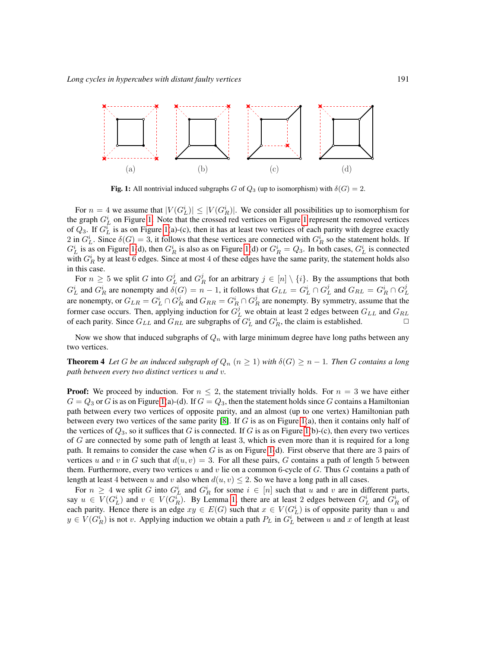

<span id="page-4-0"></span>Fig. 1: All nontrivial induced subgraphs G of  $Q_3$  (up to isomorphism) with  $\delta(G) = 2$ .

For  $n = 4$  we assume that  $|V(G_L^i)| \leq |V(G_R^i)|$ . We consider all possibilities up to isomorphism for the graph  $G_L^i$  on Figure [1.](#page-4-0) Note that the crossed red vertices on Figure [1](#page-4-0) represent the removed vertices of  $Q_3$ . If  $G_L^i$  is as on Figure [1\(](#page-4-0)a)-(c), then it has at least two vertices of each parity with degree exactly 2 in  $G_L^i$ . Since  $\delta(G) = 3$ , it follows that these vertices are connected with  $G_R^i$  so the statement holds. If  $G_L^i$  is as on Figure [1\(](#page-4-0)d), then  $G_R^i$  is also as on Figure 1(d) or  $G_R^i = Q_3$ . In both cases,  $G_L^i$  is connected with  $G_R^i$  by at least 6 edges. Since at most 4 of these edges have the same parity, the statement holds also in this case.

For  $n \geq 5$  we split G into  $G_L^j$  and  $G_R^j$  for an arbitrary  $j \in [n] \setminus \{i\}$ . By the assumptions that both  $G_L^i$  and  $G_R^i$  are nonempty and  $\delta(G) = n - 1$ , it follows that  $G_{LL} = G_L^i \cap G_L^j$  and  $G_{RL} = G_R^i \cap G_L^j$ are nonempty, or  $G_{LR} = G_L^i \cap G_R^j$  and  $G_{RR} = G_R^i \cap G_R^j$  are nonempty. By symmetry, assume that the former case occurs. Then, applying induction for  $G_L^j$  we obtain at least 2 edges between  $G_{LL}$  and  $G_{RL}$ of each parity. Since  $G_{LL}$  and  $G_{RL}$  are subgraphs of  $G_L^i$  and  $G_R^i$ , the claim is established.

<span id="page-4-1"></span>Now we show that induced subgraphs of  $Q_n$  with large minimum degree have long paths between any two vertices.

**Theorem 4** Let G be an induced subgraph of  $Q_n$  ( $n \geq 1$ ) with  $\delta(G) \geq n-1$ . Then G contains a long *path between every two distinct vertices* u *and* v*.*

**Proof:** We proceed by induction. For  $n \leq 2$ , the statement trivially holds. For  $n = 3$  we have either  $G = Q_3$  or G is as on Figure [1\(](#page-4-0)a)-(d). If  $G = Q_3$ , then the statement holds since G contains a Hamiltonian path between every two vertices of opposite parity, and an almost (up to one vertex) Hamiltonian path between every two vertices of the same parity [\[8\]](#page-13-3). If  $G$  is as on Figure [1\(](#page-4-0)a), then it contains only half of the vertices of  $Q_3$ , so it suffices that G is connected. If G is as on Figure [1\(](#page-4-0)b)-(c), then every two vertices of  $G$  are connected by some path of length at least 3, which is even more than it is required for a long path. It remains to consider the case when  $G$  is as on Figure [1\(](#page-4-0)d). First observe that there are 3 pairs of vertices u and v in G such that  $d(u, v) = 3$ . For all these pairs, G contains a path of length 5 between them. Furthermore, every two vertices  $u$  and  $v$  lie on a common 6-cycle of  $G$ . Thus  $G$  contains a path of length at least 4 between u and v also when  $d(u, v) \leq 2$ . So we have a long path in all cases.

For  $n \geq 4$  we split G into  $G_L^i$  and  $G_R^i$  for some  $i \in [n]$  such that u and v are in different parts, say  $u \in V(G_L^i)$  and  $v \in V(G_R^i)$ . By Lemma [1,](#page-3-1) there are at least 2 edges between  $G_L^i$  and  $G_R^i$  of each parity. Hence there is an edge  $xy \in E(G)$  such that  $x \in V(G_L^i)$  is of opposite parity than u and  $y \in V(G_R^i)$  is not v. Applying induction we obtain a path  $P_L$  in  $G_L^i$  between u and x of length at least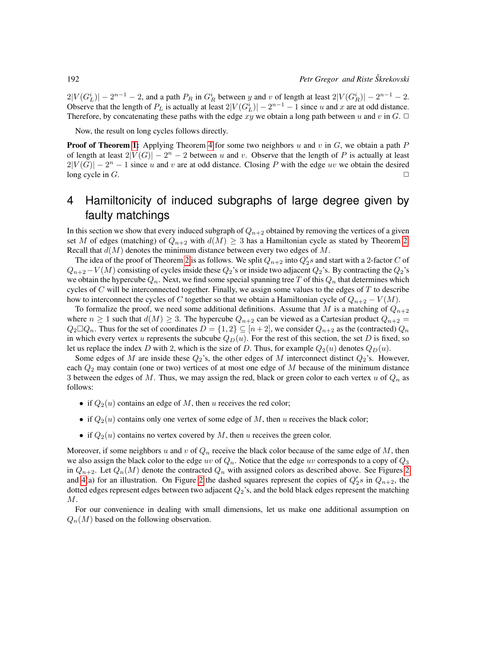$2|V(G_L^i)| - 2^{n-1} - 2$ , and a path  $P_R$  in  $G_R^i$  between y and v of length at least  $2|V(G_R^i)| - 2^{n-1} - 2$ . Observe that the length of  $P_L$  is actually at least  $2|V(G_L^i)| - 2^{n-1} - 1$  since u and x are at odd distance. Therefore, by concatenating these paths with the edge xy we obtain a long path between u and v in  $G$ .  $\Box$ 

Now, the result on long cycles follows directly.

**Proof of Theorem [1:](#page-1-1)** Applying Theorem [4](#page-4-1) for some two neighbors u and v in  $G$ , we obtain a path P of length at least  $2|V(G)| - 2<sup>n</sup> - 2$  between u and v. Observe that the length of P is actually at least  $2|V(G)| - 2<sup>n</sup> - 1$  since u and v are at odd distance. Closing P with the edge uv we obtain the desired long cycle in  $G$ .

## <span id="page-5-0"></span>4 Hamiltonicity of induced subgraphs of large degree given by faulty matchings

In this section we show that every induced subgraph of  $Q_{n+2}$  obtained by removing the vertices of a given set M of edges (matching) of  $Q_{n+2}$  with  $d(M) \geq 3$  has a Hamiltonian cycle as stated by Theorem [2.](#page-2-0) Recall that  $d(M)$  denotes the minimum distance between every two edges of M.

The idea of the proof of Theorem [2](#page-2-0) is as follows. We split  $Q_{n+2}$  into  $Q'_2s$  and start with a 2-factor C of  $Q_{n+2}-V(M)$  consisting of cycles inside these  $Q_2$ 's or inside two adjacent  $Q_2$ 's. By contracting the  $Q_2$ 's we obtain the hypercube  $Q_n$ . Next, we find some special spanning tree T of this  $Q_n$  that determines which cycles of  $C$  will be interconnected together. Finally, we assign some values to the edges of  $T$  to describe how to interconnect the cycles of C together so that we obtain a Hamiltonian cycle of  $Q_{n+2} - V(M)$ .

To formalize the proof, we need some additional definitions. Assume that M is a matching of  $Q_{n+2}$ where  $n \ge 1$  such that  $d(M) \ge 3$ . The hypercube  $Q_{n+2}$  can be viewed as a Cartesian product  $Q_{n+2}$  =  $Q_2 \Box Q_n$ . Thus for the set of coordinates  $D = \{1, 2\} \subseteq [n+2]$ , we consider  $Q_{n+2}$  as the (contracted)  $Q_n$ in which every vertex u represents the subcube  $Q_D(u)$ . For the rest of this section, the set D is fixed, so let us replace the index D with 2, which is the size of D. Thus, for example  $Q_2(u)$  denotes  $Q_D(u)$ .

Some edges of M are inside these  $Q_2$ 's, the other edges of M interconnect distinct  $Q_2$ 's. However, each  $Q_2$  may contain (one or two) vertices of at most one edge of M because of the minimum distance 3 between the edges of M. Thus, we may assign the red, black or green color to each vertex u of  $Q_n$  as follows:

- if  $Q_2(u)$  contains an edge of M, then u receives the red color;
- if  $Q_2(u)$  contains only one vertex of some edge of M, then u receives the black color;
- if  $Q_2(u)$  contains no vertex covered by M, then u receives the green color.

Moreover, if some neighbors u and v of  $Q_n$  receive the black color because of the same edge of M, then we also assign the black color to the edge uv of  $Q_n$ . Notice that the edge uv corresponds to a copy of  $Q_3$ in  $Q_{n+2}$ . Let  $Q_n(M)$  denote the contracted  $Q_n$  with assigned colors as described above. See Figures [2](#page-6-0) and [4\(](#page-7-0)a) for an illustration. On Figure [2](#page-6-0) the dashed squares represent the copies of  $Q'_2s$  in  $Q_{n+2}$ , the dotted edges represent edges between two adjacent  $Q_2$ 's, and the bold black edges represent the matching M.

For our convenience in dealing with small dimensions, let us make one additional assumption on  $Q_n(M)$  based on the following observation.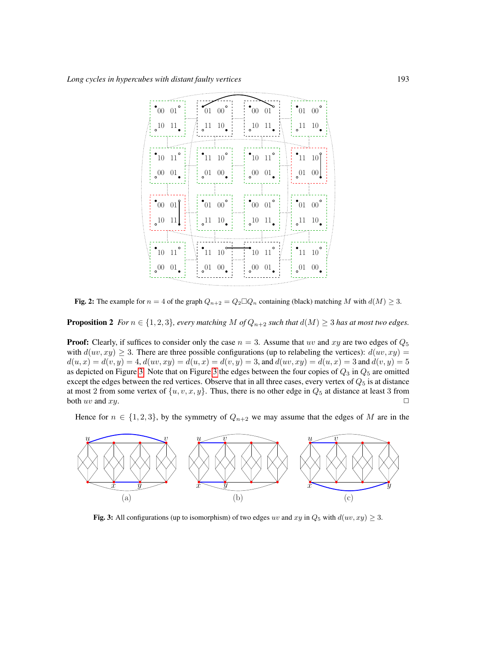|  | $\sim 00001$                            | $\sim 0100$                   |                 | $00 \t 01$                                      |                   | $\degree$ 01 00 $\degree$     |           |  |
|--|-----------------------------------------|-------------------------------|-----------------|-------------------------------------------------|-------------------|-------------------------------|-----------|--|
|  | $10 \quad 11$                           |                               | $11 \quad 10$ . | 1011                                            |                   | $11 \quad 10$ .               |           |  |
|  |                                         |                               |                 |                                                 |                   |                               |           |  |
|  | $^{\bullet}10$ $\,$ 11 $^{\circ}$       | $^{\bullet}$ 11 10 $^{\circ}$ |                 | $^{\bullet}10$ 11 $^{\circ}$                    |                   | $\cdot$ 11 10                 |           |  |
|  | 0001                                    | $0^{01}$ $0^{0}$ .            |                 | $_{0}^{00}$ $_{01}^{01}$                        |                   | 0100                          |           |  |
|  |                                         |                               |                 |                                                 |                   |                               |           |  |
|  | $\begin{bmatrix} 00 & 01 \end{bmatrix}$ | $\degree$ 01 00 $\degree$     |                 | $^{\bullet}00\  \  \, 01\,^{\circ}$             |                   | $^{\bullet}$ 01 00 $^{\circ}$ |           |  |
|  | $_{0}^{10}$ 11                          | $11 \t10$                     |                 |                                                 | $10 \quad 11$     |                               | $11 \t10$ |  |
|  |                                         |                               |                 |                                                 |                   |                               |           |  |
|  | $^{\bullet}$ 10 11 $^{\circ}$           | $^{\bullet}$ 11 10            |                 | $\begin{bmatrix} 10 & 11 \end{bmatrix}^{\circ}$ |                   | $^{\bullet}$ 11 10            |           |  |
|  | $_{\circ}00$ $01$                       |                               | $0^{01}$ 00.    |                                                 | $_{\circ}00$ $01$ | $0^{01}$ 00.                  |           |  |
|  |                                         |                               |                 |                                                 |                   |                               |           |  |

<span id="page-6-0"></span>Fig. 2: The example for  $n = 4$  of the graph  $Q_{n+2} = Q_2 \square Q_n$  containing (black) matching M with  $d(M) \geq 3$ .

**Proposition 2** *For*  $n \in \{1, 2, 3\}$ *, every matching*  $M$  *of*  $Q_{n+2}$  *such that*  $d(M) \geq 3$  *has at most two edges.* 

**Proof:** Clearly, if suffices to consider only the case  $n = 3$ . Assume that uv and xy are two edges of  $Q_5$ with  $d(uv, xy) \geq 3$ . There are three possible configurations (up to relabeling the vertices):  $d(uv, xy) =$  $d(u, x) = d(v, y) = 4$ ,  $d(uv, xy) = d(u, x) = d(v, y) = 3$ , and  $d(uv, xy) = d(u, x) = 3$  and  $d(v, y) = 5$ as depicted on Figure [3.](#page-6-1) Note that on Figure [3](#page-6-1) the edges between the four copies of  $Q_3$  in  $Q_5$  are omitted except the edges between the red vertices. Observe that in all three cases, every vertex of  $Q_5$  is at distance at most 2 from some vertex of  $\{u, v, x, y\}$ . Thus, there is no other edge in  $Q_5$  at distance at least 3 from both uv and  $xy$ .

Hence for  $n \in \{1, 2, 3\}$ , by the symmetry of  $Q_{n+2}$  we may assume that the edges of M are in the



<span id="page-6-1"></span>Fig. 3: All configurations (up to isomorphism) of two edges uv and xy in  $Q_5$  with  $d(uv, xy) \geq 3$ .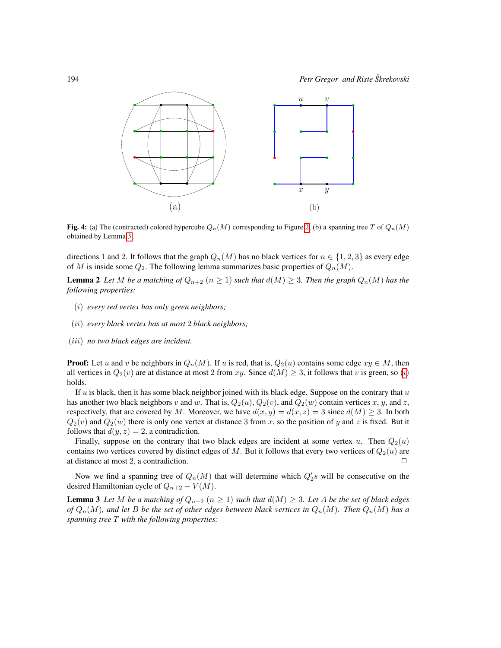

<span id="page-7-0"></span>Fig. 4: (a) The (contracted) colored hypercube  $Q_n(M)$  corresponding to Figure [2,](#page-6-0) (b) a spanning tree T of  $Q_n(M)$ obtained by Lemma [3.](#page-7-1)

directions 1 and 2. It follows that the graph  $Q_n(M)$  has no black vertices for  $n \in \{1, 2, 3\}$  as every edge of M is inside some  $Q_2$ . The following lemma summarizes basic properties of  $Q_n(M)$ .

**Lemma 2** Let M be a matching of  $Q_{n+2}$   $(n \geq 1)$  such that  $d(M) \geq 3$ . Then the graph  $Q_n(M)$  has the *following properties:*

- <span id="page-7-3"></span><span id="page-7-2"></span>(i) *every red vertex has only green neighbors;*
- <span id="page-7-4"></span>(ii) *every black vertex has at most* 2 *black neighbors;*
- <span id="page-7-5"></span>(iii) *no two black edges are incident.*

**Proof:** Let u and v be neighbors in  $Q_n(M)$ . If u is red, that is,  $Q_2(u)$  contains some edge  $xy \in M$ , then all vert[i](#page-7-2)ces in  $Q_2(v)$  are at distance at most 2 from xy. Since  $d(M) \geq 3$ , it follows that v is green, so (i) holds.

If  $u$  is black, then it has some black neighbor joined with its black edge. Suppose on the contrary that  $u$ has another two black neighbors v and w. That is,  $Q_2(u)$ ,  $Q_2(v)$ , and  $Q_2(w)$  contain vertices x, y, and z, respectively, that are covered by M. Moreover, we have  $d(x, y) = d(x, z) = 3$  since  $d(M) \ge 3$ . In both  $Q_2(v)$  and  $Q_2(w)$  there is only one vertex at distance 3 from x, so the position of y and z is fixed. But it follows that  $d(y, z) = 2$ , a contradiction.

Finally, suppose on the contrary that two black edges are incident at some vertex u. Then  $Q_2(u)$ contains two vertices covered by distinct edges of M. But it follows that every two vertices of  $Q_2(u)$  are at distance at most 2, a contradiction.

<span id="page-7-1"></span>Now we find a spanning tree of  $Q_n(M)$  that will determine which  $Q'_2s$  will be consecutive on the desired Hamiltonian cycle of  $Q_{n+2} - V(M)$ .

**Lemma 3** Let M be a matching of  $Q_{n+2}$   $(n \geq 1)$  such that  $d(M) \geq 3$ . Let A be the set of black edges *of*  $Q_n(M)$ , and let B be the set of other edges between black vertices in  $Q_n(M)$ . Then  $Q_n(M)$  has a *spanning tree* T *with the following properties:*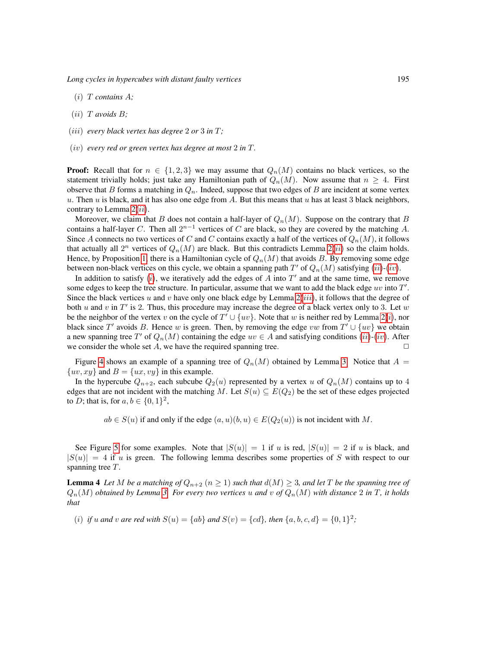*Long cycles in hypercubes with distant faulty vertices* 195

- <span id="page-8-2"></span> $(i)$  *T* contains *A*;
- <span id="page-8-0"></span>(ii) T *avoids* B*;*
- (iii) *every black vertex has degree* 2 *or* 3 *in* T*;*
- <span id="page-8-1"></span>(iv) *every red or green vertex has degree at most* 2 *in* T*.*

**Proof:** Recall that for  $n \in \{1,2,3\}$  we may assume that  $Q_n(M)$  contains no black vertices, so the statement trivially holds; just take any Hamiltonian path of  $Q_n(M)$ . Now assume that  $n \geq 4$ . First observe that B forms a matching in  $Q_n$ . Indeed, suppose that two edges of B are incident at some vertex u. Then u is black, and it has also one edge from A. But this means that u has at least 3 black neighbors, contrary to Lemma  $2(ii)$  $2(ii)$  $2(ii)$ .

Moreover, we claim that B does not contain a half-layer of  $Q_n(M)$ . Suppose on the contrary that B contains a half-layer C. Then all  $2^{n-1}$  vertices of C are black, so they are covered by the matching A. Since A connects no two vertices of C and C contains exactly a half of the vertices of  $Q_n(M)$ , it follows that actually all  $2^n$  vertices of  $Q_n(M)$  are black. But this contradicts Lemma  $2(ii)$  $2(ii)$  $2(ii)$  so the claim holds. Hence, by Proposition [1,](#page-3-2) there is a Hamiltonian cycle of  $Q_n(M)$  that avoids B. By removing some edge between non-black vertices on this cycle, we obtain a spanning path  $T'$  of  $Q_n(M)$  satisfying  $(ii)-(iv)$  $(ii)-(iv)$  $(ii)-(iv)$  $(ii)-(iv)$  $(ii)-(iv)$ .

In add[i](#page-8-2)tion to satisfy  $(i)$ , we iteratively add the edges of A into  $T'$  and at the same time, we remove some edges to keep the tree structure. In particular, assume that we want to add the black edge uv into  $T'$ . Since the black vertices u and v have only one black edge by Lemma  $2(iii)$  $2(iii)$  $2(iii)$ , it follows that the degree of both u and v in  $T'$  is 2. Thus, this procedure may increase the degree of a black vertex only to 3. Let w be the ne[i](#page-7-2)ghbor of the vertex v on the cycle of  $T' \cup \{uv\}$ . Note that w is neither red by Lemma [2](#page-7-3)(*i*), nor black since T' avoids B. Hence w is green. Then, by removing the edge vw from  $T' \cup \{uv\}$  we obtain a new spanning tree T' of  $Q_n(M)$  containing the edge  $uv \in A$  and satisfying conditions  $(ii)-(iv)$  $(ii)-(iv)$  $(ii)-(iv)$  $(ii)-(iv)$  $(ii)-(iv)$ . After we consider the whole set  $A$ , we have the required spanning tree.  $\Box$ 

Figure [4](#page-7-0) shows an example of a spanning tree of  $Q_n(M)$  obtained by Lemma [3.](#page-7-1) Notice that  $A =$  $\{uv, xy\}$  and  $B = \{ux, vy\}$  in this example.

In the hypercube  $Q_{n+2}$ , each subcube  $Q_2(u)$  represented by a vertex u of  $Q_n(M)$  contains up to 4 edges that are not incident with the matching M. Let  $S(u) \subseteq E(Q_2)$  be the set of these edges projected to *D*; that is, for  $a, b \in \{0, 1\}^2$ ,

 $ab \in S(u)$  if and only if the edge  $(a, u)(b, u) \in E(Q_2(u))$  is not incident with M.

See Figure [5](#page-9-0) for some examples. Note that  $|S(u)| = 1$  if u is red,  $|S(u)| = 2$  if u is black, and  $|S(u)| = 4$  if u is green. The following lemma describes some properties of S with respect to our spanning tree T.

<span id="page-8-3"></span>**Lemma 4** Let M be a matching of  $Q_{n+2}$   $(n \geq 1)$  such that  $d(M) \geq 3$ , and let T be the spanning tree of  $Q_n(M)$  *obtained by Lemma [3.](#page-7-1) For every two vertices* u and v of  $Q_n(M)$  with distance 2 in T, it holds *that*

<span id="page-8-4"></span>(*i*) *if* u and v are red with  $S(u) = \{ab\}$  and  $S(v) = \{cd\}$ , then  $\{a, b, c, d\} = \{0, 1\}^2$ ;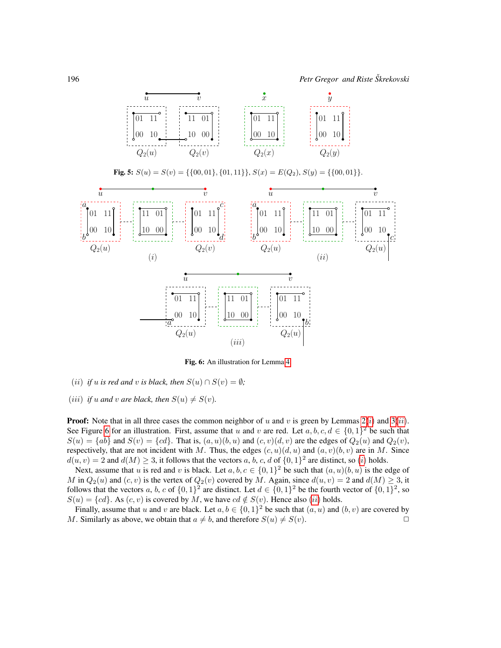

<span id="page-9-0"></span>**Fig. 5:** 
$$
S(u) = S(v) = \{\{00, 01\}, \{01, 11\}\}, S(x) = E(Q_2), S(y) = \{\{00, 01\}\}.
$$



<span id="page-9-1"></span>Fig. 6: An illustration for Lemma [4.](#page-8-3)

- <span id="page-9-2"></span>(*ii*) *if* u *is red and* v *is black, then*  $S(u) \cap S(v) = \emptyset$ ;
- (*iii*) *if* u and v are black, then  $S(u) \neq S(v)$ .

**Proof:** Note that [i](#page-7-2)n all three cases the common neighbor of u and v is green by Lemmas  $2(i)$  and  $3(ii)$  $3(ii)$  $3(ii)$ . See Figure [6](#page-9-1) for an illustration. First, assume that u and v are red. Let  $a, b, c, d \in \{0, 1\}^2$  be such that  $S(u) = \{ab\}$  and  $S(v) = \{cd\}$ . That is,  $(a, u)(b, u)$  and  $(c, v)(d, v)$  are the edges of  $Q_2(u)$  and  $Q_2(v)$ , respectively, that are not incident with M. Thus, the edges  $(c, u)(d, u)$  and  $(a, v)(b, v)$  are in M. Since  $d(u, v) = 2$  and  $d(M) \geq 3$ , [i](#page-8-4)t follows that the vectors a, b, c, d of  $\{0, 1\}^2$  are distinct, so (i) holds.

Next, assume that u is red and v is black. Let  $a, b, c \in \{0, 1\}^2$  be such that  $(a, u)(b, u)$  is the edge of M in  $Q_2(u)$  and  $(c, v)$  is the vertex of  $Q_2(v)$  covered by M. Again, since  $d(u, v) = 2$  and  $d(M) \ge 3$ , it follows that the vectors a, b, c of  $\{0,1\}^2$  are distinct. Let  $d \in \{0,1\}^2$  be the fourth vector of  $\{0,1\}^2$ , so  $S(u) = \{cd\}$ . As  $(c, v)$  is covered by M, we have  $cd \notin S(v)$ . Hence also  $(ii)$  $(ii)$  $(ii)$  holds.

Finally, assume that u and v are black. Let  $a, b \in \{0, 1\}^2$  be such that  $(a, u)$  and  $(b, v)$  are covered by M. Similarly as above, we obtain that  $a \neq b$ , and therefore  $S(u) \neq S(v)$ .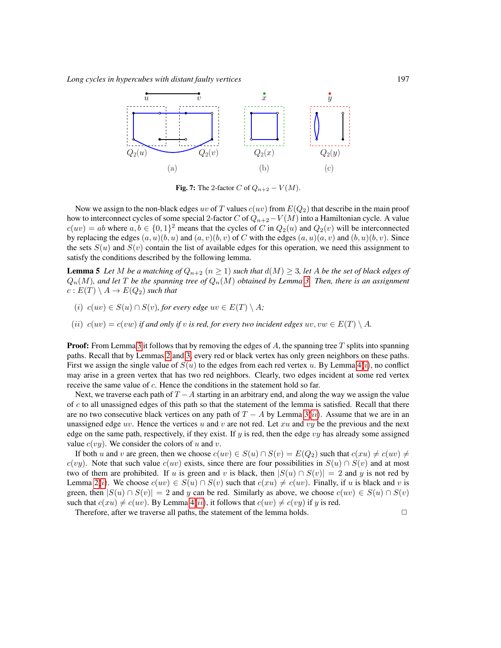

<span id="page-10-1"></span><span id="page-10-0"></span>Fig. 7: The 2-factor C of  $Q_{n+2} - V(M)$ .

Now we assign to the non-black edges uv of T values  $c(uv)$  from  $E(Q_2)$  that describe in the main proof how to interconnect cycles of some special 2-factor C of  $Q_{n+2}-V(M)$  into a Hamiltonian cycle. A value  $c(uv) = ab$  where  $a, b \in \{0, 1\}^2$  means that the cycles of C in  $Q_2(u)$  and  $Q_2(v)$  will be interconnected by replacing the edges  $(a, u)(b, u)$  and  $(a, v)(b, v)$  of C with the edges  $(a, u)(a, v)$  and  $(b, u)(b, v)$ . Since the sets  $S(u)$  and  $S(v)$  contain the list of available edges for this operation, we need this assignment to satisfy the conditions described by the following lemma.

**Lemma 5** Let M be a matching of  $Q_{n+2}$   $(n \geq 1)$  such that  $d(M) \geq 3$ , let A be the set of black edges of  $Q_n(M)$ , and let T be the spanning tree of  $Q_n(M)$  obtained by Lemma [3.](#page-7-1) Then, there is an assignment  $c: E(T) \setminus A \rightarrow E(Q_2)$  *such that* 

- <span id="page-10-2"></span>(i)  $c(uv) \in S(u) \cap S(v)$ , for every edge  $uv \in E(T) \setminus A$ ;
- <span id="page-10-3"></span>(*ii*)  $c(uv) = c(vw)$  *if and only if v is red, for every two incident edges*  $uv, vw \in E(T) \setminus A$ .

**Proof:** From Lemma [3](#page-7-1) it follows that by removing the edges of  $A$ , the spanning tree  $T$  splits into spanning paths. Recall that by Lemmas [2](#page-7-3) and [3,](#page-7-1) every red or black vertex has only green neighbors on these paths. F[i](#page-8-4)rst we assign the single value of  $S(u)$  to the edges from each red vertex u. By Lemma  $4(i)$ , no conflict may arise in a green vertex that has two red neighbors. Clearly, two edges incident at some red vertex receive the same value of c. Hence the conditions in the statement hold so far.

Next, we traverse each path of  $T - A$  starting in an arbitrary end, and along the way we assign the value of  $c$  to all unassigned edges of this path so that the statement of the lemma is satisfied. Recall that there are no two consecutive black vertices on any path of  $T - A$  by Lemma [3](#page-7-1)([ii](#page-8-0)). Assume that we are in an unassigned edge uv. Hence the vertices u and v are not red. Let xu and vy be the previous and the next edge on the same path, respectively, if they exist. If y is red, then the edge  $vy$  has already some assigned value  $c(vy)$ . We consider the colors of u and v.

If both u and v are green, then we choose  $c(uv) \in S(u) \cap S(v) = E(Q_2)$  such that  $c(xu) \neq c(uv) \neq c(uv)$ c(vy). Note that such value c(uv) exists, since there are four possibilities in  $S(u) \cap S(v)$  and at most two of them are prohibited. If u is green and v is black, then  $|S(u) \cap S(v)| = 2$  and y is not red by Lemma [2](#page-7-3)([i](#page-7-2)). We choose  $c(uv) \in S(u) \cap S(v)$  such that  $c(xu) \neq c(uv)$ . Finally, if u is black and v is green, then  $|S(u) \cap S(v)| = 2$  and y can be red. Similarly as above, we choose  $c(uv) \in S(u) \cap S(v)$ such that  $c(xu) \neq c(uv)$ . By Lemma  $4(ii)$  $4(ii)$  $4(ii)$ , it follows that  $c(uv) \neq c(vy)$  if y is red.

Therefore, after we traverse all paths, the statement of the lemma holds.  $\Box$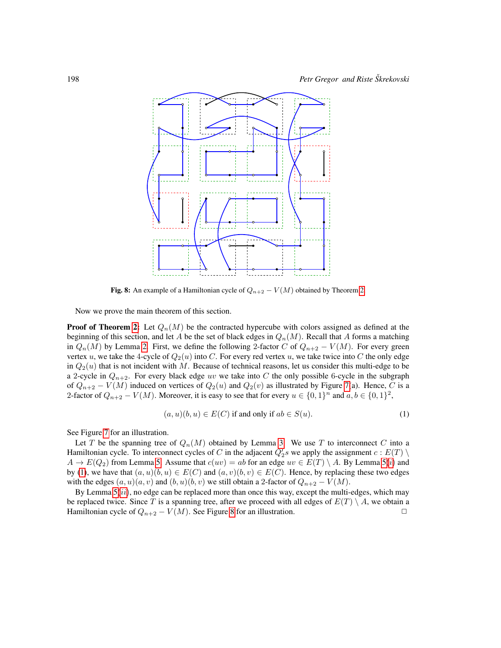

<span id="page-11-1"></span>Fig. 8: An example of a Hamiltonian cycle of  $Q_{n+2} - V(M)$  obtained by Theorem [2.](#page-2-0)

Now we prove the main theorem of this section.

**Proof of Theorem [2:](#page-2-0)** Let  $Q_n(M)$  be the contracted hypercube with colors assigned as defined at the beginning of this section, and let A be the set of black edges in  $Q_n(M)$ . Recall that A forms a matching in  $Q_n(M)$  by Lemma [2.](#page-7-3) First, we define the following 2-factor C of  $Q_{n+2} - V(M)$ . For every green vertex u, we take the 4-cycle of  $Q_2(u)$  into C. For every red vertex u, we take twice into C the only edge in  $Q_2(u)$  that is not incident with M. Because of technical reasons, let us consider this multi-edge to be a 2-cycle in  $Q_{n+2}$ . For every black edge uv we take into C the only possible 6-cycle in the subgraph of  $Q_{n+2} - V(M)$  induced on vertices of  $Q_2(u)$  and  $Q_2(v)$  as illustrated by Figure [7\(](#page-10-0)a). Hence, C is a 2-factor of  $Q_{n+2} - V(M)$ . Moreover, it is easy to see that for every  $u \in \{0,1\}^n$  and  $a, b \in \{0,1\}^2$ ,

<span id="page-11-0"></span>
$$
(a, u)(b, u) \in E(C) \text{ if and only if } ab \in S(u). \tag{1}
$$

See Figure [7](#page-10-0) for an illustration.

Let T be the spanning tree of  $Q_n(M)$  obtained by Lemma [3.](#page-7-1) We use T to interconnect C into a Hamiltonian cycle. To interconnect cycles of C in the adjacent  $Q'_2s$  we apply the assignment  $c : E(T) \setminus$  $A \to E(Q_2)$  from Lemma [5.](#page-10-1) Assume that  $c(uv) = ab$  for an edge  $uv \in E(T) \setminus A$  $uv \in E(T) \setminus A$  $uv \in E(T) \setminus A$ . By Lemma [5](#page-10-1)(i) and by [\(1\)](#page-11-0), we have that  $(a, u)(b, u) \in E(C)$  and  $(a, v)(b, v) \in E(C)$ . Hence, by replacing these two edges with the edges  $(a, u)(a, v)$  and  $(b, u)(b, v)$  we still obtain a 2-factor of  $Q_{n+2} - V(M)$ .

By Lemma  $5(ii)$  $5(ii)$  $5(ii)$ , no edge can be replaced more than once this way, except the multi-edges, which may be replaced twice. Since T is a spanning tree, after we proceed with all edges of  $E(T) \setminus A$ , we obtain a Hamiltonian cycle of  $Q_{n+2} - V(M)$ . See Figure [8](#page-11-1) for an illustration.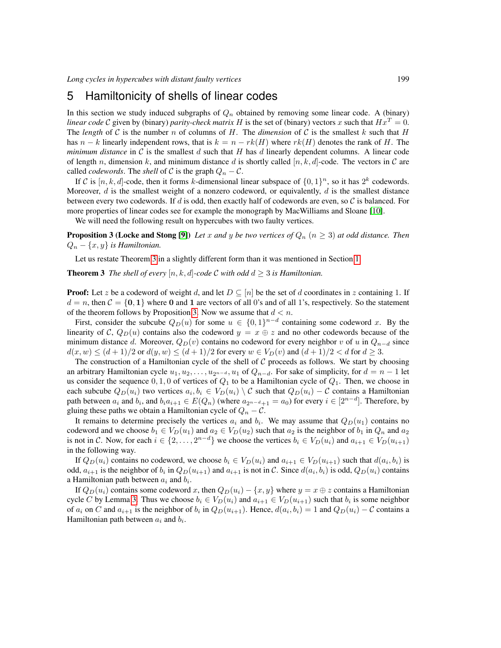#### <span id="page-12-0"></span>5 Hamiltonicity of shells of linear codes

In this section we study induced subgraphs of  $Q_n$  obtained by removing some linear code. A (binary) *linear code* C given by (binary) *parity-check matrix* H is the set of (binary) vectors x such that  $Hx^T = 0$ . The *length* of C is the number n of columns of H. The *dimension* of C is the smallest k such that H has  $n - k$  linearly independent rows, that is  $k = n - rk(H)$  where  $rk(H)$  denotes the rank of H. The *minimum distance* in  $C$  is the smallest  $d$  such that  $H$  has  $d$  linearly dependent columns. A linear code of length n, dimension k, and minimum distance d is shortly called  $[n, k, d]$ -code. The vectors in C are called *codewords*. The *shell* of C is the graph  $Q_n - C$ .

If C is  $[n, k, d]$ -code, then it forms k-dimensional linear subspace of  $\{0, 1\}^n$ , so it has  $2^k$  codewords. Moreover,  $d$  is the smallest weight of a nonzero codeword, or equivalently,  $d$  is the smallest distance between every two codewords. If d is odd, then exactly half of codewords are even, so  $\mathcal C$  is balanced. For more properties of linear codes see for example the monograph by MacWilliams and Sloane [\[10\]](#page-13-6).

<span id="page-12-1"></span>We will need the following result on hypercubes with two faulty vertices.

**Proposition 3 (Locke and Stong [\[9\]](#page-13-4))** *Let* x and y be two vertices of  $Q_n$  ( $n \geq 3$ ) at odd distance. Then  $Q_n - \{x, y\}$  *is Hamiltonian.* 

Let us restate Theorem [3](#page-2-1) in a slightly different form than it was mentioned in Section [1.](#page-0-0)

**Theorem 3** *The shell of every*  $[n, k, d]$ -code C with odd  $d \geq 3$  is Hamiltonian.

**Proof:** Let z be a codeword of weight d, and let  $D \subseteq [n]$  be the set of d coordinates in z containing 1. If  $d = n$ , then  $C = \{0, 1\}$  where 0 and 1 are vectors of all 0's and of all 1's, respectively. So the statement of the theorem follows by Proposition [3.](#page-12-1) Now we assume that  $d < n$ .

First, consider the subcube  $Q_D(u)$  for some  $u \in \{0,1\}^{n-d}$  containing some codeword x. By the linearity of C,  $Q_D(u)$  contains also the codeword  $y = x \oplus z$  and no other codewords because of the minimum distance d. Moreover,  $Q_D(v)$  contains no codeword for every neighbor v of u in  $Q_{n-d}$  since  $d(x, w) \le (d+1)/2$  or  $d(y, w) \le (d+1)/2$  for every  $w \in V_D(v)$  and  $(d+1)/2 < d$  for  $d \ge 3$ .

The construction of a Hamiltonian cycle of the shell of  $C$  proceeds as follows. We start by choosing an arbitrary Hamiltonian cycle  $u_1, u_2, \ldots, u_{2n-d}, u_1$  of  $Q_{n-d}$ . For sake of simplicity, for  $d = n - 1$  let us consider the sequence  $0, 1, 0$  of vertices of  $Q_1$  to be a Hamiltonian cycle of  $Q_1$ . Then, we choose in each subcube  $Q_D(u_i)$  two vertices  $a_i, b_i \in V_D(u_i) \setminus C$  such that  $Q_D(u_i) - C$  contains a Hamiltonian path between  $a_i$  and  $b_i$ , and  $b_i a_{i+1} \in E(Q_n)$  (where  $a_{2^{n-d}+1} = a_0$ ) for every  $i \in [2^{n-d}]$ . Therefore, by gluing these paths we obtain a Hamiltonian cycle of  $Q_n - C$ .

It remains to determine precisely the vertices  $a_i$  and  $b_i$ . We may assume that  $Q_D(u_1)$  contains no codeword and we choose  $b_1 \in V_D(u_1)$  and  $a_2 \in V_D(u_2)$  such that  $a_2$  is the neighbor of  $b_1$  in  $Q_n$  and  $a_2$ is not in C. Now, for each  $i \in \{2, \ldots, 2^{n-d}\}\$  we choose the vertices  $b_i \in V_D(u_i)$  and  $a_{i+1} \in V_D(u_{i+1})$ in the following way.

If  $Q_D(u_i)$  contains no codeword, we choose  $b_i \in V_D(u_i)$  and  $a_{i+1} \in V_D(u_{i+1})$  such that  $d(a_i, b_i)$  is odd,  $a_{i+1}$  is the neighbor of  $b_i$  in  $Q_D(u_{i+1})$  and  $a_{i+1}$  is not in C. Since  $d(a_i, b_i)$  is odd,  $Q_D(u_i)$  contains a Hamiltonian path between  $a_i$  and  $b_i$ .

If  $Q_D(u_i)$  contains some codeword x, then  $Q_D(u_i) - \{x, y\}$  where  $y = x \oplus z$  contains a Hamiltonian cycle C by Lemma [3.](#page-12-1) Thus we choose  $b_i \in V_D(u_i)$  and  $a_{i+1} \in V_D(u_{i+1})$  such that  $b_i$  is some neighbor of  $a_i$  on C and  $a_{i+1}$  is the neighbor of  $b_i$  in  $Q_D(u_{i+1})$ . Hence,  $d(a_i, b_i) = 1$  and  $Q_D(u_i) - C$  contains a Hamiltonian path between  $a_i$  and  $b_i$ .